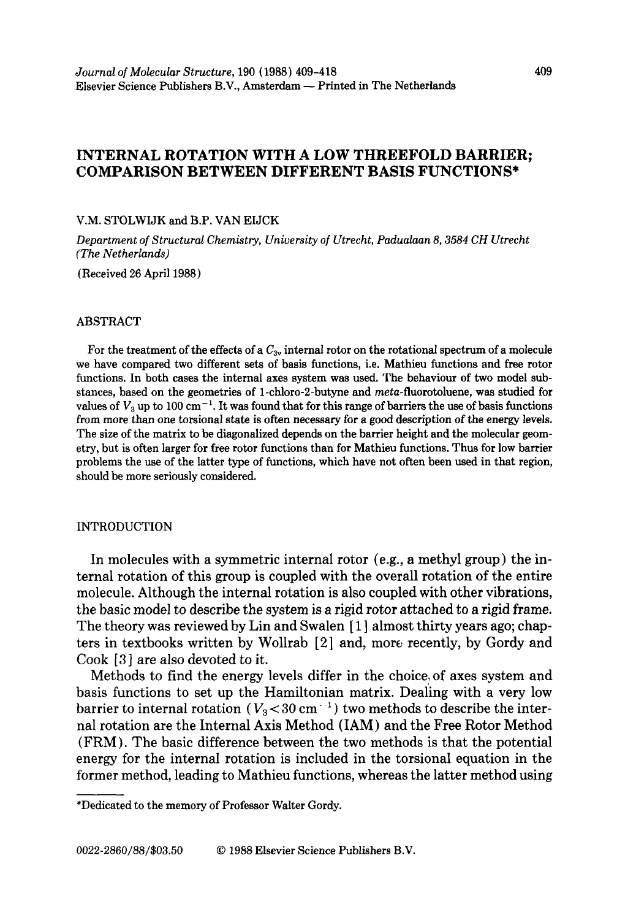# **INTERNAL ROTATION WITH A LOW THREEFOLD BARRIER; COMPARISON BETWEEN DIFFERENT BASIS FUNCTIONS\***

#### **V.M. STOLWIJK and B.P. VAN EIJCK**

*Department of Structural Chemistry, University of Utrecht, Padualaan 8,3584 CH Utrecht (The Netherlands)* 

**(Received 26 April 1988)** 

## **ABSTRACT**

For the treatment of the effects of a  $C_{3v}$  internal rotor on the rotational spectrum of a molecule **we have compared two different sets of basis functions, i.e. Mathieu functions and free rotor functions. In both cases the internal axes system was used. The behaviour of two model substances, based on the geometries of l-chloro-2-butyne and meta-fluorotoluene, was studied for**  values of  $V_3$  up to 100 cm<sup>-1</sup>. It was found that for this range of barriers the use of basis functions **from more than one torsional state is often necessary for a good description of the energy levels. The size of the matrix to be diagonalized depends on the barrier height and the molecular geometry, but is often larger for free rotor functions than for Mathieu functions. Thus for low barrier problems the use of the latter type of functions, which have not often been used in that region, should be more seriously considered.** 

### **INTRODUCTION**

In molecules with a symmetric internal rotor (e.g., a methyl group) the internal rotation of this group is coupled with the overall rotation of the entire molecule. Although the internal rotation is also coupled with other vibrations, the basic model to describe the system is a rigid rotor attached to a rigid frame. The theory was reviewed by Lin and Swalen [ **1 ]** almost thirty years ago; chapters in textbooks written by Wollrab [2] and, more recently, by Gordy and Cook [3] are also devoted to it.

Methods to find the energy levels differ in the choice,of axes system and basis functions to set up the Hamiltonian matrix. Dealing with a very low barrier to internal rotation  $(V_3<30 \text{ cm}^{-1})$  two methods to describe the internal rotation are the Internal Axis Method (IAM) and the Free Rotor Method (FRM). The basic difference between the two methods is that the potential energy for the internal rotation is included in the torsional equation in the former method, leading to Mathieu functions, whereas the latter method using

**<sup>\*</sup>Dedicated to the memory of Professor Walter Gordy.**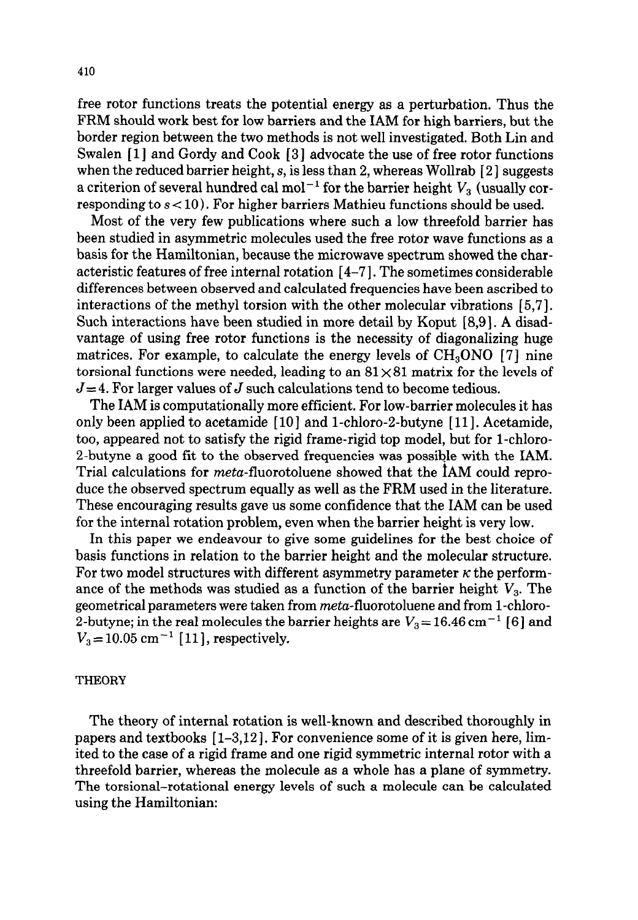free rotor functions treats the potential energy as a perturbation. Thus the FRM should work best for low barriers and the IAM for high barriers, but the border region between the two methods is not well investigated. Both Lin and Swalen [l] and Gordy and Cook [ 31 advocate the use of free rotor functions when the reduced barrier height,  $s$ , is less than 2, whereas Wollrab  $[2]$  suggests a criterion of several hundred cal mol<sup>-1</sup> for the barrier height  $V_3$  (usually corresponding to  $s < 10$ ). For higher barriers Mathieu functions should be used.

Most of the very few publications where such a low threefold barrier has been studied in asymmetric molecules used the free rotor wave functions as a basis for the Hamiltonian, because the microwave spectrum showed the characteristic features of free internal rotation [4-71. The sometimes considerable differences between observed and calculated frequencies have been ascribed to interactions of the methyl torsion with the other molecular vibrations [ 5,7]. Such interactions have been studied in more detail by Koput *[ 8,9].* A disadvantage of using free rotor functions is the necessity of diagonalizing huge matrices. For example, to calculate the energy levels of CH<sub>3</sub>ONO [7] nine torsional functions were needed, leading to an  $81\times81$  matrix for the levels of  $J=4$ . For larger values of *J* such calculations tend to become tedious.

The IAM is computationally more efficient. For low-barrier molecules it has only been applied to acetamide [lo] and 1-chloro-2-butyne [ 111. Acetamide, too, appeared not to satisfy the rigid frame-rigid top model, but for l-chloro-2-butyne a good fit to the observed frequencies was possible with the IAM. Trial calculations for *meta*-fluorotoluene showed that the IAM could reproduce the observed spectrum equally as well as the FRM used in the literature. These encouraging results gave us some confidence that the IAM can be used for the internal rotation problem, even when the barrier height is very low.

In this paper we endeavour to give some guidelines for the best choice of basis functions in relation to the barrier height and the molecular structure. For two model structures with different asymmetry parameter  $\kappa$  the performance of the methods was studied as a function of the barrier height  $V<sub>3</sub>$ . The geometrical parameters were taken from meta-fluorotoluene and from l-chloro-2-butyne; in the real molecules the barrier heights are  $V_3 = 16.46 \text{ cm}^{-1}$  [6] and  $V_3 = 10.05$  cm<sup>-1</sup> [11], respectively.

### **THEORY**

The theory of internal rotation is well-known and described thoroughly in papers and textbooks [l-3,12]. For convenience some of it is given here, limited to the case of a rigid frame and one rigid symmetric internal rotor with a threefold barrier, whereas the molecule as a whole has a plane of symmetry. The torsional-rotational energy levels of such a molecule can be calculated using the Hamiltonian: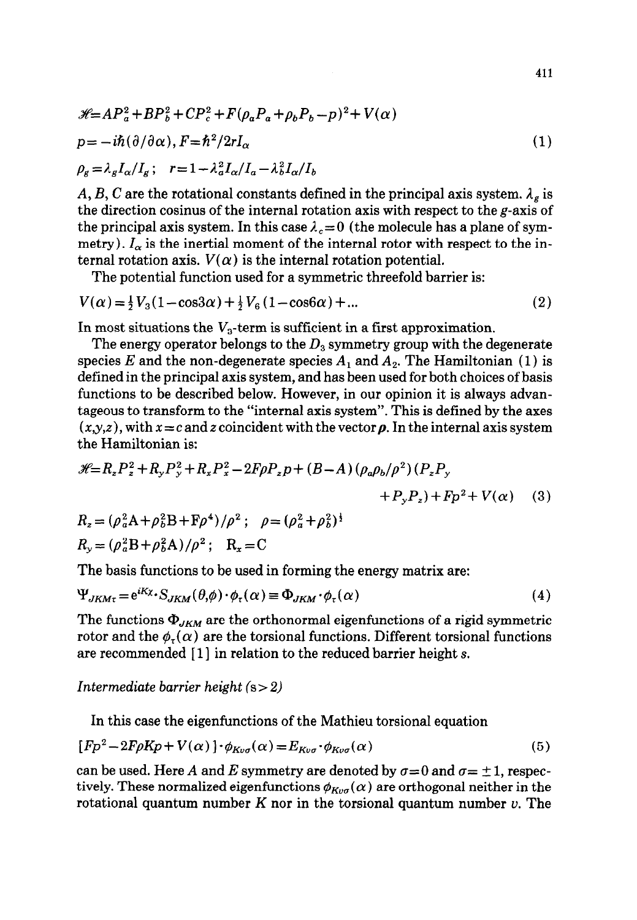$$
\mathcal{H} = AP_a^2 + BP_b^2 + CP_c^2 + F(\rho_a P_a + \rho_b P_b - p)^2 + V(\alpha)
$$
  
\n
$$
p = -i\hbar(\partial/\partial\alpha), F = \hbar^2/2rI_\alpha
$$
  
\n
$$
\rho_g = \lambda_g I_\alpha/I_g; \quad r = 1 - \lambda_a^2 I_\alpha/I_a - \lambda_b^2 I_\alpha/I_b
$$
\n(1)

*A, B, C* are the rotational constants defined in the principal axis system.  $\lambda_g$  is the direction cosinus of the internal rotation axis with respect to the  $g$ -axis of the principal axis system. In this case  $\lambda_c = 0$  (the molecule has a plane of symmetry).  $I_{\alpha}$  is the inertial moment of the internal rotor with respect to the internal rotation axis.  $V(\alpha)$  is the internal rotation potential.

The potential function used for a symmetric threefold barrier is:

$$
V(\alpha) = \frac{1}{2}V_3(1 - \cos 3\alpha) + \frac{1}{2}V_6(1 - \cos 6\alpha) + \dots
$$
 (2)

In most situations the  $V_3$ -term is sufficient in a first approximation.

The energy operator belongs to the  $D_3$  symmetry group with the degenerate species E and the non-degenerate species  $A_1$  and  $A_2$ . The Hamiltonian (1) is defined in the principal axis system, and has been used for both choices of basis functions to be described below. However, in our opinion it is always advantageous to transform to the "internal axis system". This is defined by the axes  $(x,y,z)$ , with  $x = c$  and z coincident with the vector  $\rho$ . In the internal axis system the Hamiltonian is:

$$
\mathcal{H} = R_z P_z^2 + R_y P_y^2 + R_x P_x^2 - 2F\rho P_z p + (B - A) (\rho_a \rho_b / \rho^2) (P_z P_y + P_y P_z) + Fp^2 + V(\alpha)
$$
 (3)

$$
R_z = (\rho_a^2 A + \rho_b^2 B + F \rho^4) / \rho^2; \quad \rho = (\rho_a^2 + \rho_b^2)^{\frac{1}{2}}
$$
  

$$
R_y = (\rho_a^2 B + \rho_b^2 A) / \rho^2; \quad R_x = C
$$

The basis functions to be used in forming the energy matrix are:

$$
\Psi_{JKM\tau} = e^{iK_X} S_{JKM}(\theta, \phi) \cdot \phi_{\tau}(\alpha) \equiv \Phi_{JKM} \cdot \phi_{\tau}(\alpha)
$$
\n(4)

The functions  $\Phi_{JKM}$  are the orthonormal eigenfunctions of a rigid symmetric rotor and the  $\phi_{\tau}(\alpha)$  are the torsional functions. Different torsional functions are recommended [1] in relation to the reduced barrier height s.

*Intermediate barrier height (s > 2)* 

In this case the eigenfunctions of the Mathieu torsional equation

$$
[Fp^2 - 2F\rho Kp + V(\alpha)] \cdot \phi_{K\nu\sigma}(\alpha) = E_{K\nu\sigma} \cdot \phi_{K\nu\sigma}(\alpha)
$$
 (5)

can be used. Here A and E symmetry are denoted by  $\sigma = 0$  and  $\sigma = \pm 1$ , respectively. These normalized eigenfunctions  $\phi_{K\omega\sigma}(\alpha)$  are orthogonal neither in the rotational quantum number  $K$  nor in the torsional quantum number  $v$ . The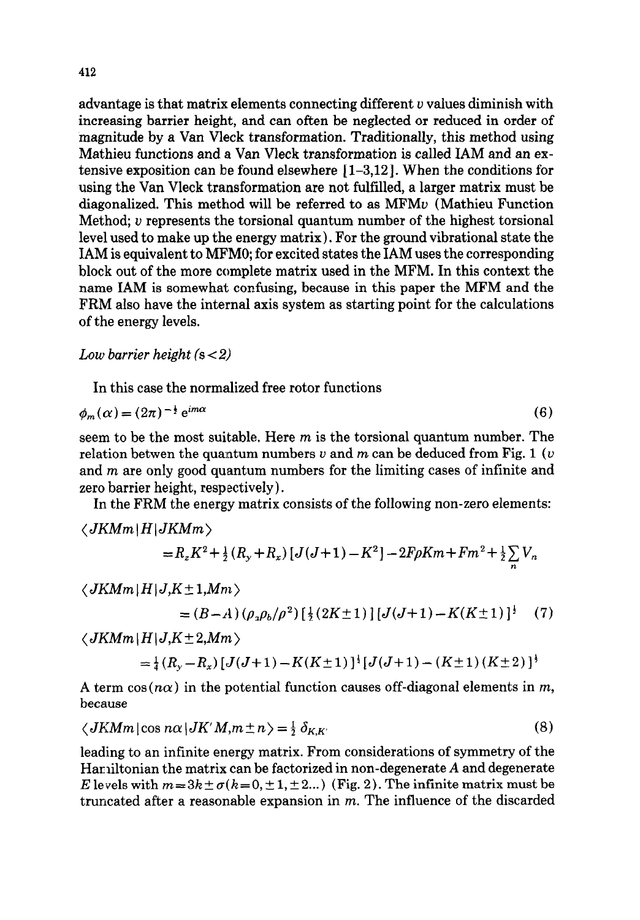advantage is that matrix elements connecting different  $v$  values diminish with increasing barrier height, and can often be neglected or reduced in order of magnitude by a Van Vleck transformation. Traditionally, this method using Mathieu functions and a Van Vleck transformation is called IAM and an extensive exposition can be found elsewhere [l-3,12]. When the conditions for using the Van Vleck transformation are not fulfilled, a larger matrix must be diagonalized. This method will be referred to as MFMu (Mathieu Function Method; u represents the torsional quantum number of the highest torsional level used to make up the energy matrix). For the ground vibrational state the IAM is equivalent to MFMO; for excited states the IAM uses the corresponding block out of the more complete matrix used in the MFM. In this context the name IAM is somewhat confusing, because in this paper the MFM and the FRM also have the internal axis system as starting point for the calculations of the energy levels.

# *Low barrier height (s < 2)*

In this case the normalized free rotor functions

$$
\phi_m(\alpha) = (2\pi)^{-\frac{1}{2}} e^{im\alpha} \tag{6}
$$

seem to be the most suitable. Here  $m$  is the torsional quantum number. The relation betwen the quantum numbers  $v$  and  $m$  can be deduced from Fig. 1 ( $v$ ) and *m* are only good quantum numbers for the limiting cases of infinite and zero barrier height, respectively).

In the FRM the energy matrix consists of the following non-zero elements:

$$
\langle JKMm | H | JKMm \rangle
$$
  
= R<sub>z</sub>K<sup>2</sup> +  $\frac{1}{2}$ (R<sub>y</sub> + R<sub>z</sub>) [J(J+1) - K<sup>2</sup>] - 2F\rho Km + Fm<sup>2</sup> +  $\frac{1}{2}$   $\sum_{n}$  V<sub>n</sub>

$$
\langle JK M m | H | J, K \pm 1, M m \rangle
$$

$$
= (B-A)(\rho_{\alpha}\rho_{b}/\rho^{2})\left[\frac{1}{2}(2K\pm 1)\right][J(J+1)-K(K\pm 1)]^{\frac{1}{2}}
$$
 (7)

 $\langle JKMm|H|J,K\pm2, Mm\rangle$ 

$$
=\frac{1}{4}(R_{y}-R_{x})[J(J+1)-K(K\pm 1)]^{\frac{1}{2}}[J(J+1)-(K\pm 1)(K\pm 2)]^{\frac{1}{2}}
$$

A term  $cos(n\alpha)$  in the potential function causes off-diagonal elements in  $m$ , because

$$
\langle JKMm \, | \cos n\alpha \, | JK'M, m \pm n \rangle = \frac{1}{2} \, \delta_{K,K'} \tag{8}
$$

leading to an infinite energy matrix. From considerations of symmetry of the Hamiltonian the matrix can be factorized in non-degenerate *A* and degenerate E levels with  $m=3k\pm\sigma(k=0,\pm1,\pm2...)$  (Fig. 2). The infinite matrix must be truncated after a reasonable expansion in *m.* The influence of the discarded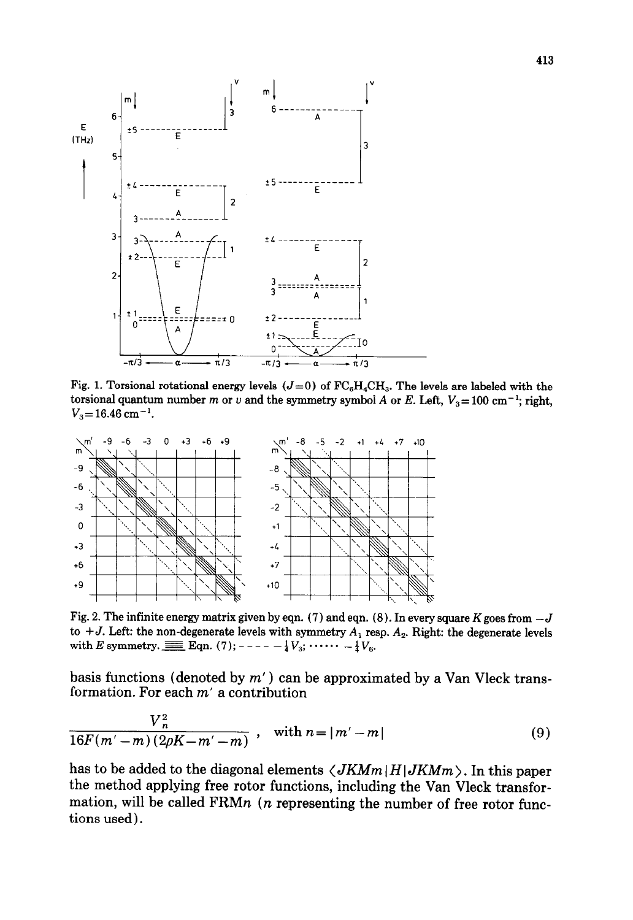

Fig. 1. Torsional rotational energy levels  $(J=0)$  of  $FC_6H_4CH_3$ . The levels are labeled with the torsional quantum number m or v and the symmetry symbol *A* or *E*. Left,  $V_3 = 100 \text{ cm}^{-1}$ ; right,  $V_3 = 16.46$  cm<sup>-1</sup>.



Fig. 2. The infinite energy matrix given by eqn. (7) and eqn. (8). In every square K goes from  $-J$ to  $+J$ . Left: the non-degenerate levels with symmetry  $A_1$  resp.  $A_2$ . Right: the degenerate levels with E symmetry.  $\equiv$  Eqn. (7);----  $-\frac{1}{4}V_3$ ;  $\cdots \cdots -\frac{1}{4}V_6$ .

basis functions (denoted by  $m'$ ) can be approximated by a Van Vleck transformation. For each *m'* a contribution

$$
\frac{V_n^2}{16F(m'-m)(2\rho K - m' - m)}, \quad \text{with } n = |m'-m| \tag{9}
$$

has to be added to the diagonal elements  $\langle JKMm|H|JKMm \rangle$ . In this paper the method applying free rotor functions, including the Van Vleck transformation, will be called FRMn *(n* representing the number of free rotor functions used).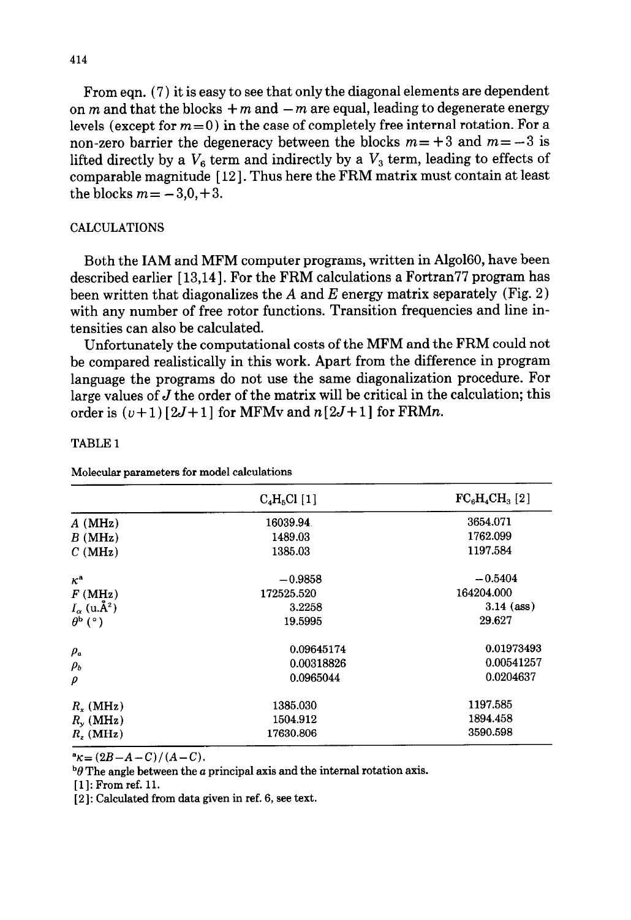From eqn. (7) it is easy to see that only the diagonal elements are dependent on *m* and that the blocks  $+m$  and  $-m$  are equal, leading to degenerate energy levels (except for  $m=0$ ) in the case of completely free internal rotation. For a non-zero barrier the degeneracy between the blocks  $m = +3$  and  $m = -3$  is lifted directly by a  $V_6$  term and indirectly by a  $V_3$  term, leading to effects of comparable magnitude [ 121. Thus here the FRM matrix must contain at least the blocks  $m = -3.0, +3.$ 

# CALCULATIONS

Both the IAM and MFM computer programs, written in Algol60, have been described earlier  $[13,14]$ . For the FRM calculations a Fortran  $77$  program has been written that diagonalizes the  $A$  and  $E$  energy matrix separately (Fig. 2) with any number of free rotor functions. Transition frequencies and line intensities can also be calculated.

Unfortunately the computational costs of the MFM and the FRM could not be compared realistically in this work. Apart from the difference in program language the programs do not use the same diagonalization procedure. For large values of *J* the order of the matrix will be critical in the calculation; this order is  $(\nu+1)$  [2J+1] for MFMv and  $n[2J+1]$  for FRMn.

## TABLE 1

Molecular parameters for model calculations

|                            | $C_4H_5Cl$ [1] | $FC_6H_4CH_3[2]$ |
|----------------------------|----------------|------------------|
| $A$ (MHz)                  | 16039.94       | 3654.071         |
| B(MHz)                     | 1489.03        | 1762.099         |
| C(MHz)                     | 1385.03        | 1197.584         |
| $\kappa^{\rm a}$           | $-0.9858$      | $-0.5404$        |
| F(MHz)                     | 172525.520     | 164204.000       |
| $I_{\alpha}$ (u. $\AA^2$ ) | 3.2258         | $3.14$ (ass)     |
| $\theta^{\rm b}$ (°)       | 19.5995        | 29.627           |
| $\rho_a$                   | 0.09645174     | 0.01973493       |
| $\rho_b$                   | 0.00318826     | 0.00541257       |
| ρ                          | 0.0965044      | 0.0204637        |
| $R_{-}$ (MHz)              | 1385.030       | 1197.585         |
| $R_{y}$ (MHz)              | 1504.912       | 1894.458         |
| $R_{\rm r}$ (MHz)          | 17630.806      | 3590.598         |

 ${}^{\bf a}$ *K* = (2*B* – *A* – *C*)/(*A* – *C*).

 $^{b}\theta$  The angle between the *a* principal axis and the internal rotation axis.

[1]: From ref. 11.

[2]: Calculated from data given in ref. 6, see text.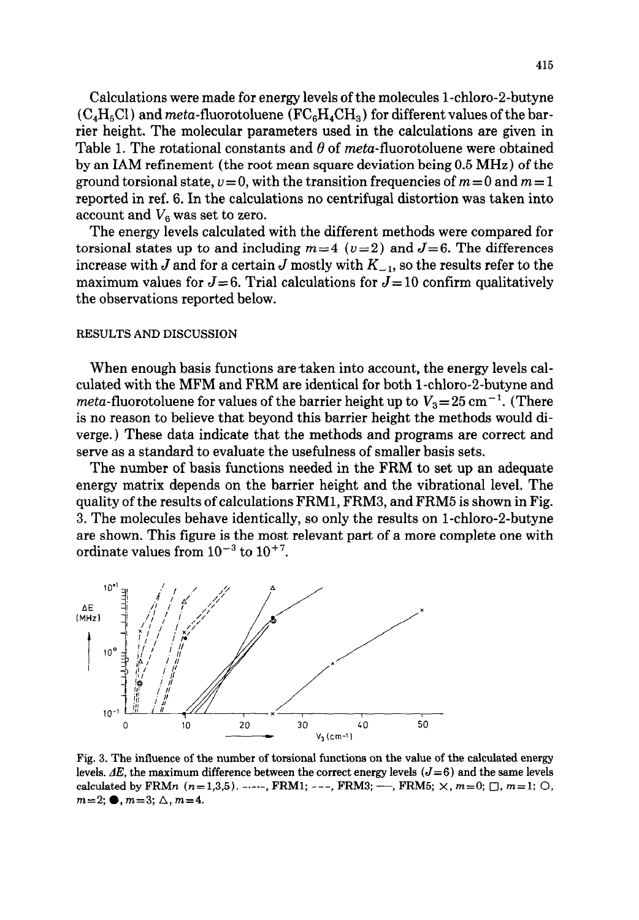Calculations were made for energy levels of the molecules 1-chloro-2-butyne  $(C_4H_5Cl)$  and meta-fluorotoluene  $(FC_6H_4CH_3)$  for different values of the barrier height. The molecular parameters used in the calculations are given in Table 1. The rotational constants and  $\theta$  of meta-fluorotoluene were obtained by an IAM refinement (the root mean square deviation being 0.5 MHz) of the ground torsional state,  $v = 0$ , with the transition frequencies of  $m = 0$  and  $m = 1$ reported in ref. 6. In the calculations no centrifugal distortion was taken into account and  $V_6$  was set to zero.

The energy levels calculated with the different methods were compared for torsional states up to and including  $m=4$  ( $v=2$ ) and  $J=6$ . The differences increase with *J* and for a certain *J* mostly with  $K_{-1}$ , so the results refer to the maximum values for  $J=6$ . Trial calculations for  $J=10$  confirm qualitatively the observations reported below.

#### **RESULTS AND DISCUSSION**

When enough basis functions are taken into account, the energy levels calculated with the MFM and FRM are identical for both 1-chloro-2-butyne and *meta*-fluorotoluene for values of the barrier height up to  $V_3 = 25 \text{ cm}^{-1}$ . (There is no reason to believe that beyond this barrier height the methods would diverge.) These data indicate that the methods and programs are correct and serve as a standard to evaluate the usefulness of smaller basis sets.

The number of basis functions needed in the FRM to set up an adequate energy matrix depends on the barrier height and the vibrational level. The quality of the results of calculations FRMl, FRMS, and FRM5 is shown in Fig. 3. The molecules behave identically, so only the results on 1-chloro-2-butyne are shown. This figure is the most relevant part of a more complete one with ordinate values from  $10^{-3}$  to  $10^{+7}$ .



**Fig. 3. The influence of the number of torsional functions on the value of the calculated energy**  levels.  $AE$ , the maximum difference between the correct energy levels  $(J=6)$  and the same levels **calculated by FRMn**  $(n=1,3,5)$ . ----, **FRM1**; ---, **FRM3**; --, **FRM5**;  $\times$ ,  $m=0$ ;  $\Box$ ,  $m=1$ ;  $\Box$ ,  $m=2;$   $\bullet$ ,  $m=3;$   $\triangle$ ,  $m=4$ .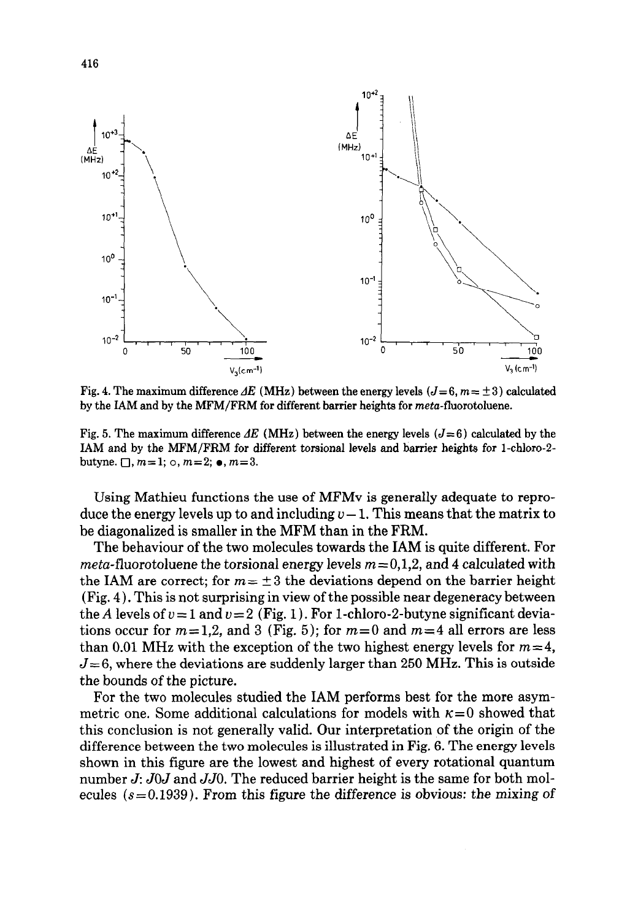

**Fig. 4. The maximum difference**  $\Delta E$  **(MHz) between the energy levels (** $J=6$ **,**  $m=\pm 3$ **) calculated by the IAM and by the MFM/FRM for different barrier heights for meta-fluorotoluene.** 

Fig. 5. The maximum difference  $AE$  (MHz) between the energy levels  $(J=6)$  calculated by the **IAM and by the MFM/FRM for different torsional levels and barrier heighte for I-chloro-2 butyne.**  $\Box$ ,  $m=1$ ;  $\circ$ ,  $m=2$ ;  $\bullet$ ,  $m=3$ .

Using Mathieu functions the use of MFMv is generally adequate to reproduce the energy levels up to and including  $v-1$ . This means that the matrix to be diagonalized is smaller in the MFM than in the FRM.

The behaviour of the two molecules towards the IAM is quite different. For *meta*-fluorotoluene the torsional energy levels  $m=0,1,2$ , and 4 calculated with the IAM are correct; for  $m = \pm 3$  the deviations depend on the barrier height (Fig. 4). This is not surprising in view of the possible near degeneracy between the *A* levels of  $v = 1$  and  $v = 2$  (Fig. 1). For 1-chloro-2-butyne significant deviations occur for  $m=1,2$ , and 3 (Fig. 5); for  $m=0$  and  $m=4$  all errors are less than 0.01 MHz with the exception of the two highest energy levels for  $m=4$ ,  $J=6$ , where the deviations are suddenly larger than 250 MHz. This is outside the bounds of the picture.

For the two molecules studied the IAM performs best for the more asymmetric one. Some additional calculations for models with  $\kappa=0$  showed that this conclusion is not generally valid. Our interpretation of the origin of the difference between the two molecules is illustrated in Fig. 6. The energy levels shown in this figure are the lowest and highest of every rotational quantum number J: JOJ and *JJO.* The reduced barrier height is the same for both molecules  $(s=0.1939)$ . From this figure the difference is obvious: the mixing of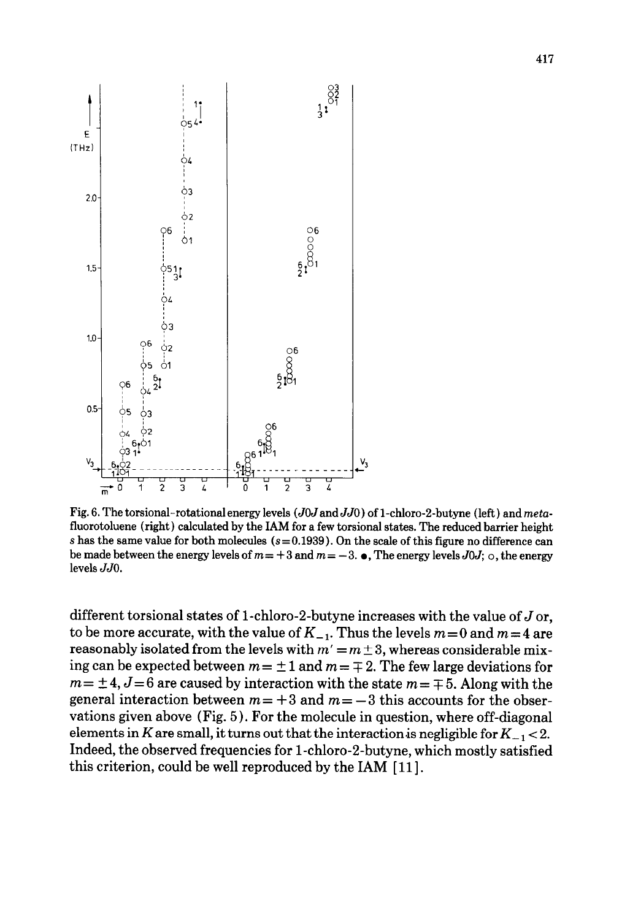

Fig. 6. The torsional-rotational energy levels (*JOJ* and *JJO*) of 1-chloro-2-butyne (left) and *meta***fluorotoluene (right) calculated by the IAM for a few torsional states. The reduced barrier height**   $s$  has the same value for both molecules  $(s=0.1939)$ . On the scale of this figure no difference can be made between the energy levels of  $m = +3$  and  $m = -3$ .  $\bullet$ , The energy levels  $J0J$ ;  $\circ$ , the energy **levels** *JJO.* 

different torsional states of 1-chloro-2-butyne increases with the value of  $J$  or, to be more accurate, with the value of  $K_{-1}$ . Thus the levels  $m=0$  and  $m=4$  are reasonably isolated from the levels with  $m' = m \pm 3$ , whereas considerable mixing can be expected between  $m = \pm 1$  and  $m = \mp 2$ . The few large deviations for  $m = \pm 4$ ,  $J = 6$  are caused by interaction with the state  $m = \mp 5$ . Along with the general interaction between  $m = +3$  and  $m = -3$  this accounts for the observations given above (Fig. 5 ) . For the molecule in question, where off-diagonal elements in K are small, it turns out that the interaction is negligible for  $K_{-1}$  < 2. Indeed, the observed frequencies for 1-chloro-2-butyne, which mostly satisfied this criterion, could be well reproduced by the IAM [11].